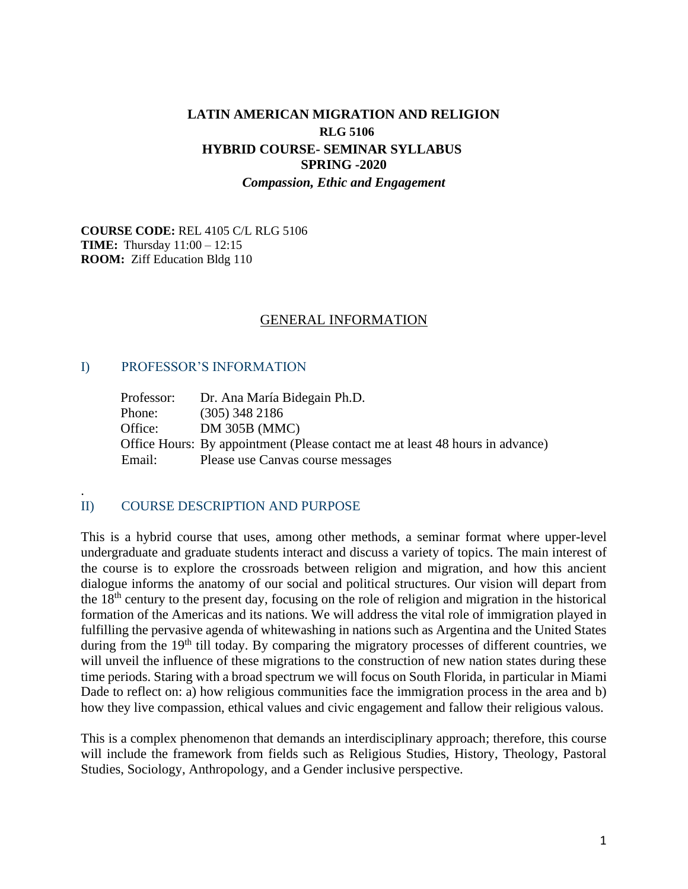## **LATIN AMERICAN MIGRATION AND RELIGION RLG 5106 HYBRID COURSE- SEMINAR SYLLABUS SPRING -2020** *Compassion, Ethic and Engagement*

**COURSE CODE:** REL 4105 C/L RLG 5106 **TIME:** Thursday 11:00 – 12:15 **ROOM:** Ziff Education Bldg 110

#### GENERAL INFORMATION

#### I) PROFESSOR'S INFORMATION

.

| Professor: | Dr. Ana María Bidegain Ph.D.                                                  |
|------------|-------------------------------------------------------------------------------|
| Phone:     | $(305)$ 348 2186                                                              |
| Office:    | <b>DM 305B (MMC)</b>                                                          |
|            | Office Hours: By appointment (Please contact me at least 48 hours in advance) |
| Email:     | Please use Canvas course messages                                             |

### II) COURSE DESCRIPTION AND PURPOSE

This is a hybrid course that uses, among other methods, a seminar format where upper-level undergraduate and graduate students interact and discuss a variety of topics. The main interest of the course is to explore the crossroads between religion and migration, and how this ancient dialogue informs the anatomy of our social and political structures. Our vision will depart from the 18th century to the present day, focusing on the role of religion and migration in the historical formation of the Americas and its nations. We will address the vital role of immigration played in fulfilling the pervasive agenda of whitewashing in nations such as Argentina and the United States during from the 19<sup>th</sup> till today. By comparing the migratory processes of different countries, we will unveil the influence of these migrations to the construction of new nation states during these time periods. Staring with a broad spectrum we will focus on South Florida, in particular in Miami Dade to reflect on: a) how religious communities face the immigration process in the area and b) how they live compassion, ethical values and civic engagement and fallow their religious valous.

This is a complex phenomenon that demands an interdisciplinary approach; therefore, this course will include the framework from fields such as Religious Studies, History, Theology, Pastoral Studies, Sociology, Anthropology, and a Gender inclusive perspective.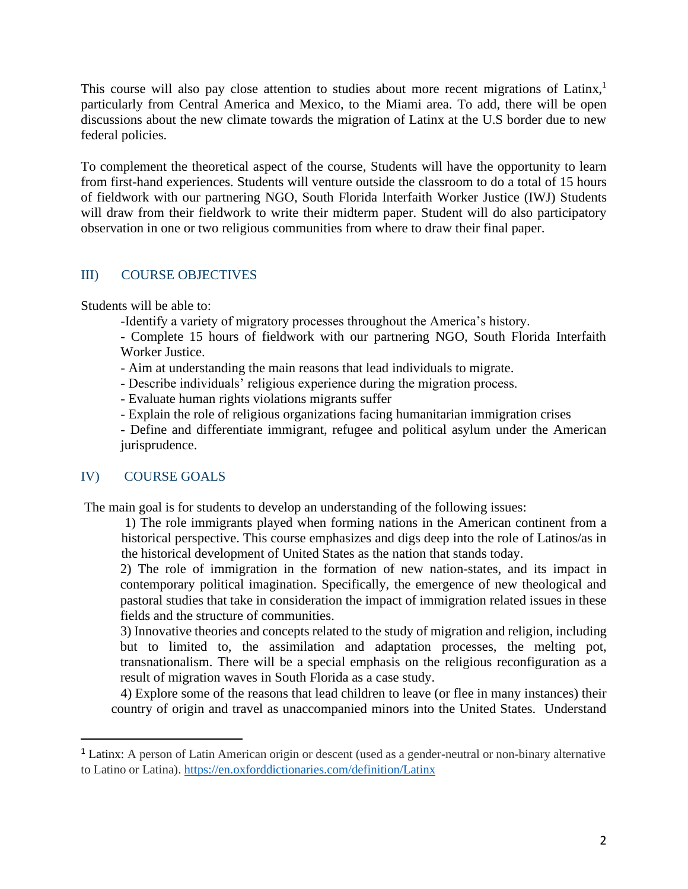This course will also pay close attention to studies about more recent migrations of Latinx,<sup>1</sup> particularly from Central America and Mexico, to the Miami area. To add, there will be open discussions about the new climate towards the migration of Latinx at the U.S border due to new federal policies.

To complement the theoretical aspect of the course, Students will have the opportunity to learn from first-hand experiences. Students will venture outside the classroom to do a total of 15 hours of fieldwork with our partnering NGO, South Florida Interfaith Worker Justice (IWJ) Students will draw from their fieldwork to write their midterm paper. Student will do also participatory observation in one or two religious communities from where to draw their final paper.

### III) COURSE OBJECTIVES

Students will be able to:

- -Identify a variety of migratory processes throughout the America's history.
- Complete 15 hours of fieldwork with our partnering NGO, South Florida Interfaith Worker Justice.
- Aim at understanding the main reasons that lead individuals to migrate.
- Describe individuals' religious experience during the migration process.
- Evaluate human rights violations migrants suffer
- Explain the role of religious organizations facing humanitarian immigration crises
- Define and differentiate immigrant, refugee and political asylum under the American jurisprudence.

## IV) COURSE GOALS

The main goal is for students to develop an understanding of the following issues:

1) The role immigrants played when forming nations in the American continent from a historical perspective. This course emphasizes and digs deep into the role of Latinos/as in the historical development of United States as the nation that stands today.

2) The role of immigration in the formation of new nation-states, and its impact in contemporary political imagination. Specifically, the emergence of new theological and pastoral studies that take in consideration the impact of immigration related issues in these fields and the structure of communities.

3) Innovative theories and concepts related to the study of migration and religion, including but to limited to, the assimilation and adaptation processes, the melting pot, transnationalism. There will be a special emphasis on the religious reconfiguration as a result of migration waves in South Florida as a case study.

4) Explore some of the reasons that lead children to leave (or flee in many instances) their country of origin and travel as unaccompanied minors into the United States. Understand

<sup>&</sup>lt;sup>1</sup> Latinx: A person of Latin American origin or descent (used as a gender-neutral or non-binary alternative to Latino or Latina).<https://en.oxforddictionaries.com/definition/Latinx>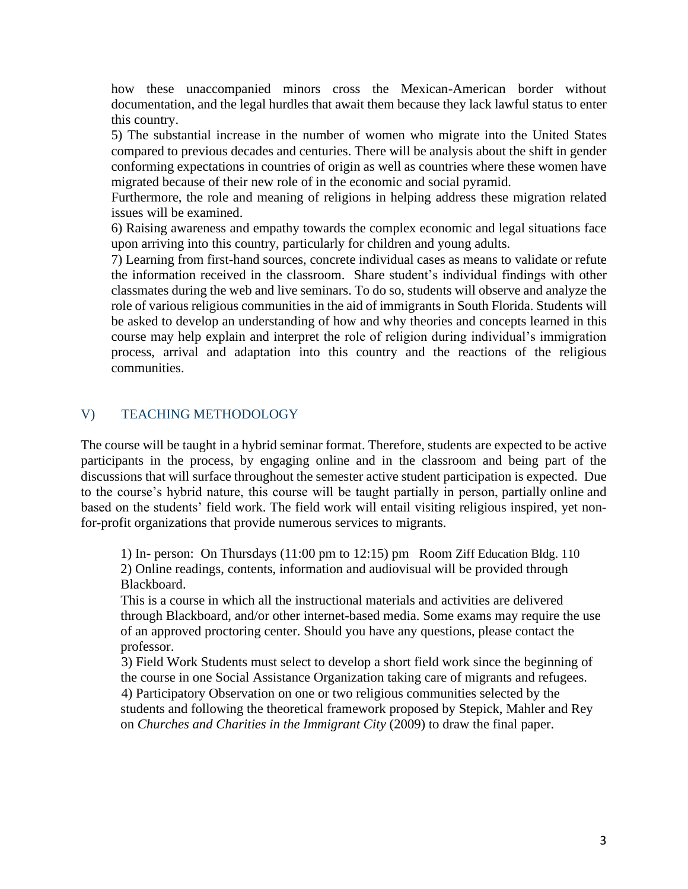how these unaccompanied minors cross the Mexican-American border without documentation, and the legal hurdles that await them because they lack lawful status to enter this country.

5) The substantial increase in the number of women who migrate into the United States compared to previous decades and centuries. There will be analysis about the shift in gender conforming expectations in countries of origin as well as countries where these women have migrated because of their new role of in the economic and social pyramid.

Furthermore, the role and meaning of religions in helping address these migration related issues will be examined.

6) Raising awareness and empathy towards the complex economic and legal situations face upon arriving into this country, particularly for children and young adults.

7) Learning from first-hand sources, concrete individual cases as means to validate or refute the information received in the classroom. Share student's individual findings with other classmates during the web and live seminars. To do so, students will observe and analyze the role of various religious communities in the aid of immigrants in South Florida. Students will be asked to develop an understanding of how and why theories and concepts learned in this course may help explain and interpret the role of religion during individual's immigration process, arrival and adaptation into this country and the reactions of the religious communities.

## V) TEACHING METHODOLOGY

The course will be taught in a hybrid seminar format. Therefore, students are expected to be active participants in the process, by engaging online and in the classroom and being part of the discussions that will surface throughout the semester active student participation is expected. Due to the course's hybrid nature, this course will be taught partially in person, partially online and based on the students' field work. The field work will entail visiting religious inspired, yet nonfor-profit organizations that provide numerous services to migrants.

1) In- person: On Thursdays (11:00 pm to 12:15) pm Room Ziff Education Bldg. 110 2) Online readings, contents, information and audiovisual will be provided through Blackboard.

This is a course in which all the instructional materials and activities are delivered through Blackboard, and/or other internet-based media. Some exams may require the use of an approved proctoring center. Should you have any questions, please contact the professor.

3) Field Work Students must select to develop a short field work since the beginning of the course in one Social Assistance Organization taking care of migrants and refugees. 4) Participatory Observation on one or two religious communities selected by the students and following the theoretical framework proposed by Stepick, Mahler and Rey on *Churches and Charities in the Immigrant City* (2009) to draw the final paper.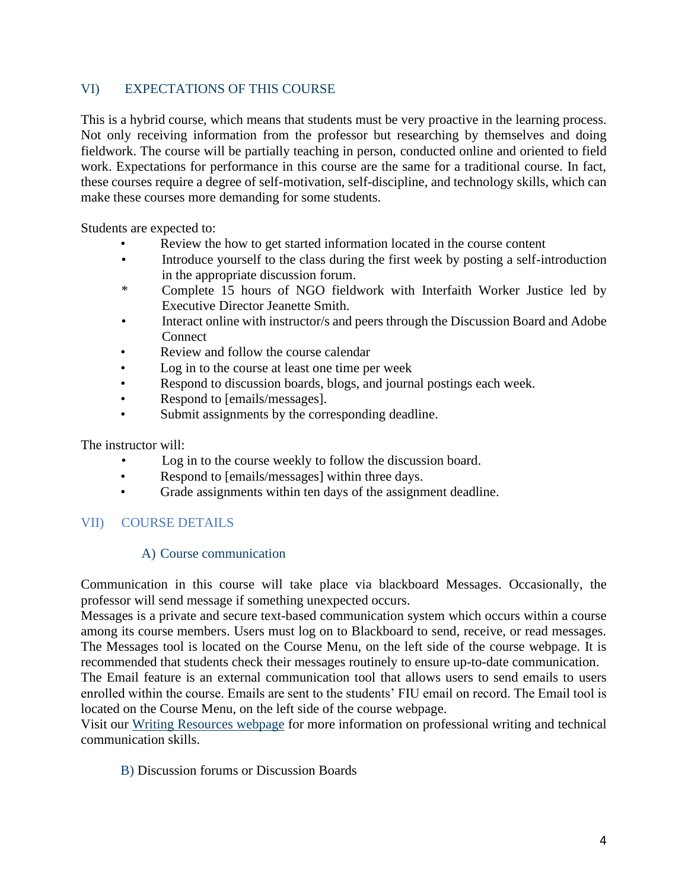### VI) EXPECTATIONS OF THIS COURSE

This is a hybrid course, which means that students must be very proactive in the learning process. Not only receiving information from the professor but researching by themselves and doing fieldwork. The course will be partially teaching in person, conducted online and oriented to field work. Expectations for performance in this course are the same for a traditional course. In fact, these courses require a degree of self-motivation, self-discipline, and technology skills, which can make these courses more demanding for some students.

Students are expected to:

- Review the how to get started information located in the course content
- Introduce yourself to the class during the first week by posting a self-introduction in the appropriate discussion forum.
- \* Complete 15 hours of NGO fieldwork with Interfaith Worker Justice led by Executive Director Jeanette Smith.
- Interact online with instructor/s and peers through the Discussion Board and Adobe **Connect**
- Review and follow the course calendar
- Log in to the course at least one time per week
- Respond to discussion boards, blogs, and journal postings each week.
- Respond to [emails/messages].
- Submit assignments by the corresponding deadline.

The instructor will:

- Log in to the course weekly to follow the discussion board.
- Respond to [emails/messages] within three days.
- Grade assignments within ten days of the assignment deadline.

## VII) COURSE DETAILS

#### A) Course communication

Communication in this course will take place via blackboard Messages. Occasionally, the professor will send message if something unexpected occurs.

Messages is a private and secure text-based communication system which occurs within a course among its course members. Users must log on to Blackboard to send, receive, or read messages. The Messages tool is located on the Course Menu, on the left side of the course webpage. It is recommended that students check their messages routinely to ensure up-to-date communication.

The Email feature is an external communication tool that allows users to send emails to users enrolled within the course. Emails are sent to the students' FIU email on record. The Email tool is located on the Course Menu, on the left side of the course webpage.

Visit our Writing Resources webpage for more information on professional writing and technical communication skills.

B) Discussion forums or Discussion Boards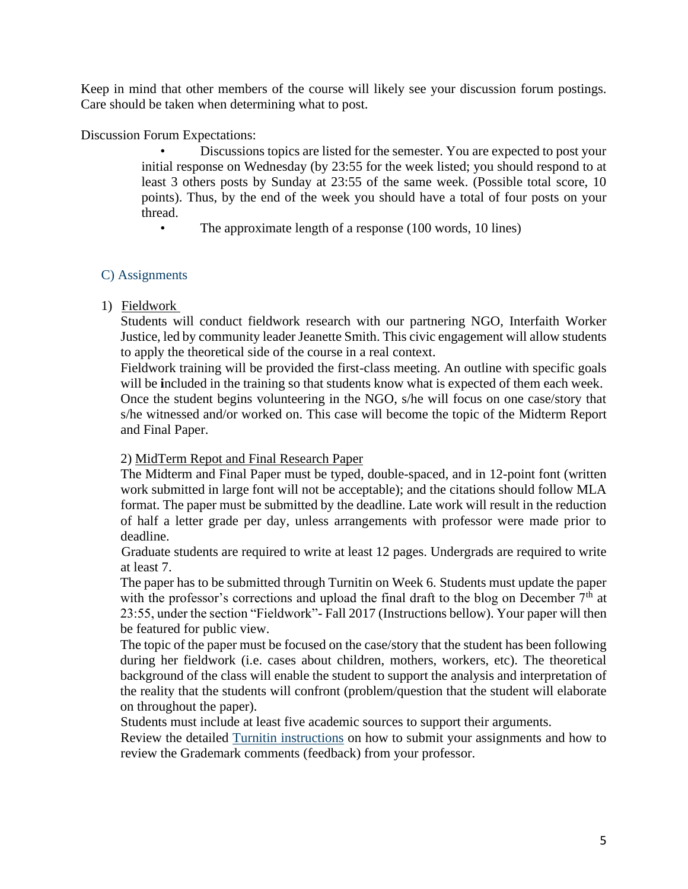Keep in mind that other members of the course will likely see your discussion forum postings. Care should be taken when determining what to post.

Discussion Forum Expectations:

• Discussions topics are listed for the semester. You are expected to post your initial response on Wednesday (by 23:55 for the week listed; you should respond to at least 3 others posts by Sunday at 23:55 of the same week. (Possible total score, 10 points). Thus, by the end of the week you should have a total of four posts on your thread.

• The approximate length of a response (100 words, 10 lines)

### C) Assignments

#### 1) Fieldwork

Students will conduct fieldwork research with our partnering NGO, Interfaith Worker Justice, led by community leader Jeanette Smith. This civic engagement will allow students to apply the theoretical side of the course in a real context.

Fieldwork training will be provided the first-class meeting. An outline with specific goals will be **i**ncluded in the training so that students know what is expected of them each week.

Once the student begins volunteering in the NGO, s/he will focus on one case/story that s/he witnessed and/or worked on. This case will become the topic of the Midterm Report and Final Paper.

#### 2) MidTerm Repot and Final Research Paper

The Midterm and Final Paper must be typed, double-spaced, and in 12-point font (written work submitted in large font will not be acceptable); and the citations should follow MLA format. The paper must be submitted by the deadline. Late work will result in the reduction of half a letter grade per day, unless arrangements with professor were made prior to deadline.

Graduate students are required to write at least 12 pages. Undergrads are required to write at least 7.

The paper has to be submitted through Turnitin on Week 6. Students must update the paper with the professor's corrections and upload the final draft to the blog on December  $7<sup>th</sup>$  at 23:55, under the section "Fieldwork"- Fall 2017 (Instructions bellow). Your paper will then be featured for public view.

The topic of the paper must be focused on the case/story that the student has been following during her fieldwork (i.e. cases about children, mothers, workers, etc). The theoretical background of the class will enable the student to support the analysis and interpretation of the reality that the students will confront (problem/question that the student will elaborate on throughout the paper).

Students must include at least five academic sources to support their arguments.

Review the detailed Turnitin instructions on how to submit your assignments and how to review the Grademark comments (feedback) from your professor.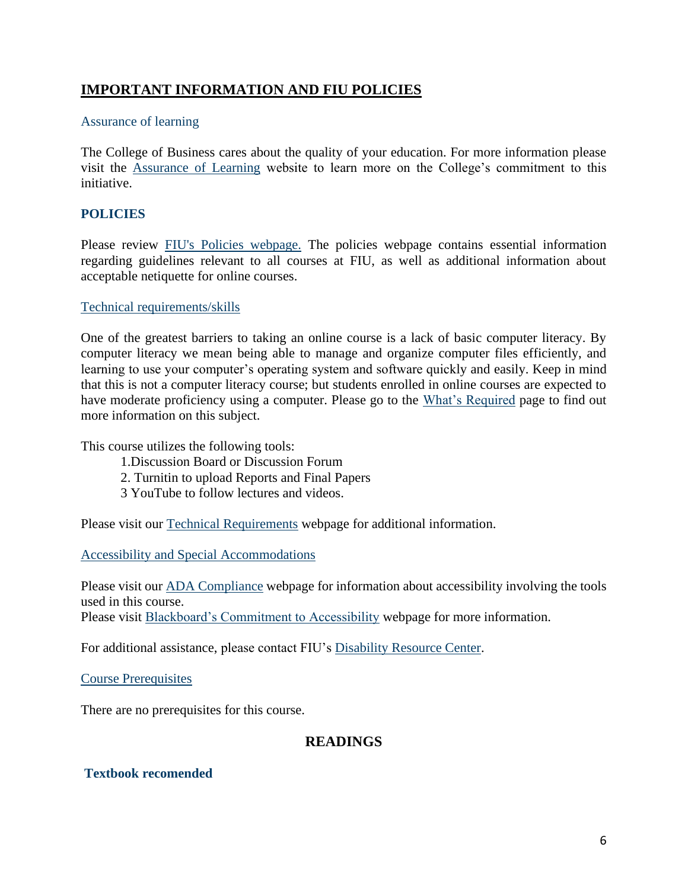# **IMPORTANT INFORMATION AND FIU POLICIES**

#### Assurance of learning

The College of Business cares about the quality of your education. For more information please visit the Assurance of Learning website to learn more on the College's commitment to this initiative.

### **POLICIES**

Please review FIU's Policies webpage. The policies webpage contains essential information regarding guidelines relevant to all courses at FIU, as well as additional information about acceptable netiquette for online courses.

#### Technical requirements/skills

One of the greatest barriers to taking an online course is a lack of basic computer literacy. By computer literacy we mean being able to manage and organize computer files efficiently, and learning to use your computer's operating system and software quickly and easily. Keep in mind that this is not a computer literacy course; but students enrolled in online courses are expected to have moderate proficiency using a computer. Please go to the What's Required page to find out more information on this subject.

This course utilizes the following tools:

- 1.Discussion Board or Discussion Forum
- 2. Turnitin to upload Reports and Final Papers
- 3 YouTube to follow lectures and videos.

Please visit our Technical Requirements webpage for additional information.

Accessibility and Special Accommodations

Please visit our ADA Compliance webpage for information about accessibility involving the tools used in this course.

Please visit **Blackboard's Commitment to Accessibility** webpage for more information.

For additional assistance, please contact FIU's Disability Resource Center.

Course Prerequisites

There are no prerequisites for this course.

### **READINGS**

### **Textbook recomended**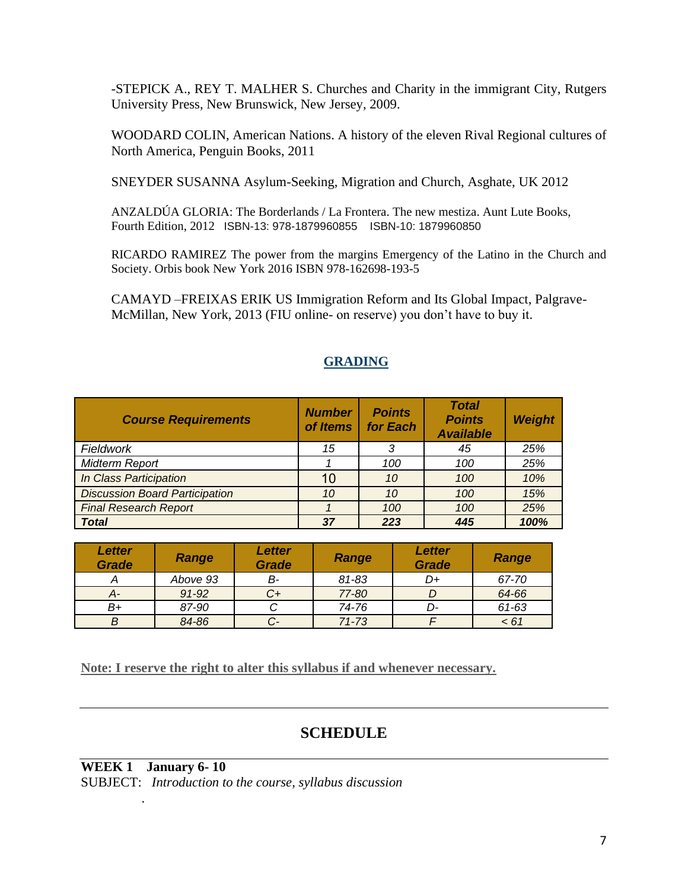-STEPICK A., REY T. MALHER S. Churches and Charity in the immigrant City, Rutgers University Press, New Brunswick, New Jersey, 2009.

WOODARD COLIN, American Nations. A history of the eleven Rival Regional cultures of North America, Penguin Books, 2011

SNEYDER SUSANNA Asylum-Seeking, Migration and Church, Asghate, UK 2012

ANZALDÚA GLORIA: The Borderlands / La Frontera. The new mestiza. Aunt Lute Books, Fourth Edition, 2012 ISBN-13: 978-1879960855 ISBN-10: 1879960850

RICARDO RAMIREZ The power from the margins Emergency of the Latino in the Church and Society. Orbis book New York 2016 ISBN 978-162698-193-5

CAMAYD –FREIXAS ERIK US Immigration Reform and Its Global Impact, Palgrave-McMillan, New York, 2013 (FIU online- on reserve) you don't have to buy it.

| <b>Course Requirements</b>            | <b>Number</b><br>of Items | <b>Points</b><br>for Each | <b>Total</b><br><b>Points</b><br><b>Available</b> | <b>Weight</b> |
|---------------------------------------|---------------------------|---------------------------|---------------------------------------------------|---------------|
| Fieldwork                             | 15                        | 3                         | 45                                                | 25%           |
| <b>Midterm Report</b>                 |                           | 100                       | 100                                               | 25%           |
| In Class Participation                | 10                        | 10                        | 100                                               | 10%           |
| <b>Discussion Board Participation</b> | 10                        | 10                        | 100                                               | 15%           |
| <b>Final Research Report</b>          |                           | 100                       | 100                                               | 25%           |
| <b>Total</b>                          | 37                        | 223                       | 445                                               | 100%          |

### **GRADING**

| <b>Letter</b><br><b>Grade</b> | Range     | Letter<br><b>Grade</b> | Range     | Letter<br><b>Grade</b> | Range |
|-------------------------------|-----------|------------------------|-----------|------------------------|-------|
|                               | Above 93  | в-                     | 81-83     | D+                     | 67-70 |
| А-                            | $91 - 92$ | C+                     | 77-80     |                        | 64-66 |
| B+                            | 87-90     |                        | 74-76     | D-                     | 61-63 |
| Β                             | 84-86     |                        | $71 - 73$ |                        | < 61  |

**Note: I reserve the right to alter this syllabus if and whenever necessary.**

# **SCHEDULE**

**WEEK 1 January 6- 10** SUBJECT: *Introduction to the course, syllabus discussion*

.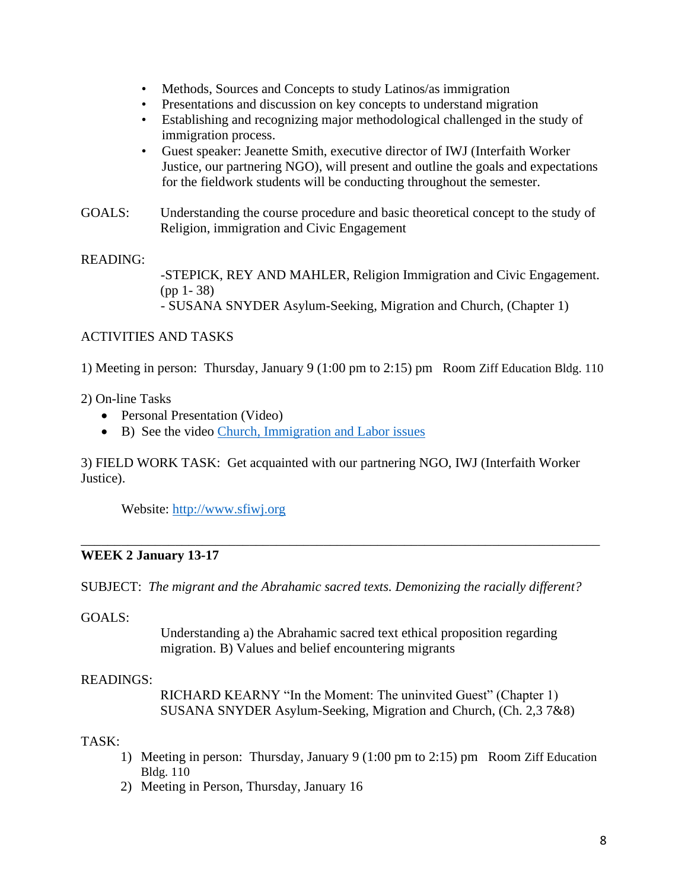- Methods, Sources and Concepts to study Latinos/as immigration
- Presentations and discussion on key concepts to understand migration
- Establishing and recognizing major methodological challenged in the study of immigration process.
- Guest speaker: Jeanette Smith, executive director of IWJ (Interfaith Worker Justice, our partnering NGO), will present and outline the goals and expectations for the fieldwork students will be conducting throughout the semester.
- GOALS: Understanding the course procedure and basic theoretical concept to the study of Religion, immigration and Civic Engagement

## READING:

-STEPICK, REY AND MAHLER, Religion Immigration and Civic Engagement. (pp 1- 38) - SUSANA SNYDER Asylum-Seeking, Migration and Church, (Chapter 1)

## ACTIVITIES AND TASKS

1) Meeting in person: Thursday, January 9 (1:00 pm to 2:15) pm Room Ziff Education Bldg. 110

## 2) On-line Tasks

- Personal Presentation (Video)
- B) See the video [Church, Immigration and Labor issues](https://youtu.be/FOVJAYys8qQ)

3) FIELD WORK TASK: Get acquainted with our partnering NGO, IWJ (Interfaith Worker Justice).

Website: [http://www.sfiwj.org](http://www.sfiwj.org/)

#### \_\_\_\_\_\_\_\_\_\_\_\_\_\_\_\_\_\_\_\_\_\_\_\_\_\_\_\_\_\_\_\_\_\_\_\_\_\_\_\_\_\_\_\_\_\_\_\_\_\_\_\_\_\_\_\_\_\_\_\_\_\_\_\_\_\_\_\_\_\_\_\_\_\_\_\_\_ **WEEK 2 January 13-17**

SUBJECT: *The migrant and the Abrahamic sacred texts. Demonizing the racially different?* 

GOALS:

Understanding a) the Abrahamic sacred text ethical proposition regarding migration. B) Values and belief encountering migrants

## READINGS:

RICHARD KEARNY "In the Moment: The uninvited Guest" (Chapter 1) SUSANA SNYDER Asylum-Seeking, Migration and Church, (Ch. 2,3 7&8)

## TASK:

- 1) Meeting in person: Thursday, January 9 (1:00 pm to 2:15) pm Room Ziff Education Bldg. 110
- 2) Meeting in Person, Thursday, January 16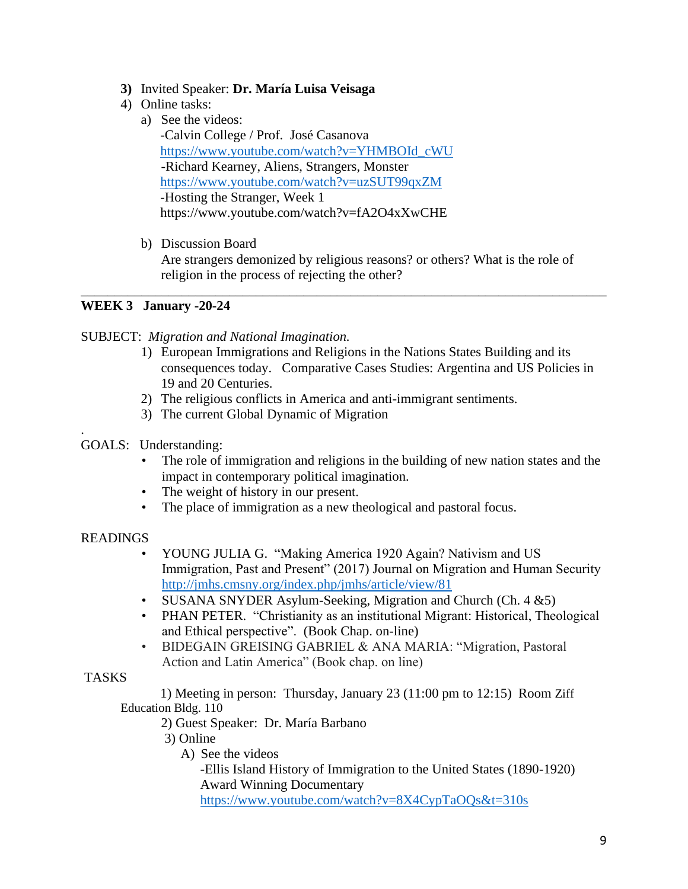- **3)** Invited Speaker: **Dr. María Luisa Veisaga**
- 4) Online tasks:
	- a) See the videos: -Calvin College / Prof. José Casanova [https://www.youtube.com/watch?v=YHMBOId\\_cWU](https://www.youtube.com/watch?v=YHMBOId_cWU) -Richard Kearney, Aliens, Strangers, Monster <https://www.youtube.com/watch?v=uzSUT99qxZM> -Hosting the Stranger, Week 1 https://www.youtube.com/watch?v=fA2O4xXwCHE
	- b) Discussion Board Are strangers demonized by religious reasons? or others? What is the role of religion in the process of rejecting the other?

\_\_\_\_\_\_\_\_\_\_\_\_\_\_\_\_\_\_\_\_\_\_\_\_\_\_\_\_\_\_\_\_\_\_\_\_\_\_\_\_\_\_\_\_\_\_\_\_\_\_\_\_\_\_\_\_\_\_\_\_\_\_\_\_\_\_\_\_\_\_\_\_\_\_\_\_\_\_

### **WEEK 3 January -20-24**

### SUBJECT: *Migration and National Imagination.*

- 1) European Immigrations and Religions in the Nations States Building and its consequences today. Comparative Cases Studies: Argentina and US Policies in 19 and 20 Centuries.
- 2) The religious conflicts in America and anti-immigrant sentiments.
- 3) The current Global Dynamic of Migration
- GOALS: Understanding:
	- The role of immigration and religions in the building of new nation states and the impact in contemporary political imagination.
	- The weight of history in our present.
	- The place of immigration as a new theological and pastoral focus.

### READINGS

.

- YOUNG JULIA G. "Making America 1920 Again? Nativism and US Immigration, Past and Present" (2017) Journal on Migration and Human Security <http://jmhs.cmsny.org/index.php/jmhs/article/view/81>
- SUSANA SNYDER Asylum-Seeking, Migration and Church (Ch. 4 & 5)
- PHAN PETER. "Christianity as an institutional Migrant: Historical, Theological and Ethical perspective". (Book Chap. on-line)
- BIDEGAIN GREISING GABRIEL & ANA MARIA: "Migration, Pastoral Action and Latin America" (Book chap. on line)

### TASKS

1) Meeting in person: Thursday, January 23 (11:00 pm to 12:15) Room Ziff Education Bldg. 110

2) Guest Speaker: Dr. María Barbano

- 3) Online
	- A) See the videos

-Ellis Island History of Immigration to the United States (1890-1920) Award Winning Documentary

<https://www.youtube.com/watch?v=8X4CypTaOQs&t=310s>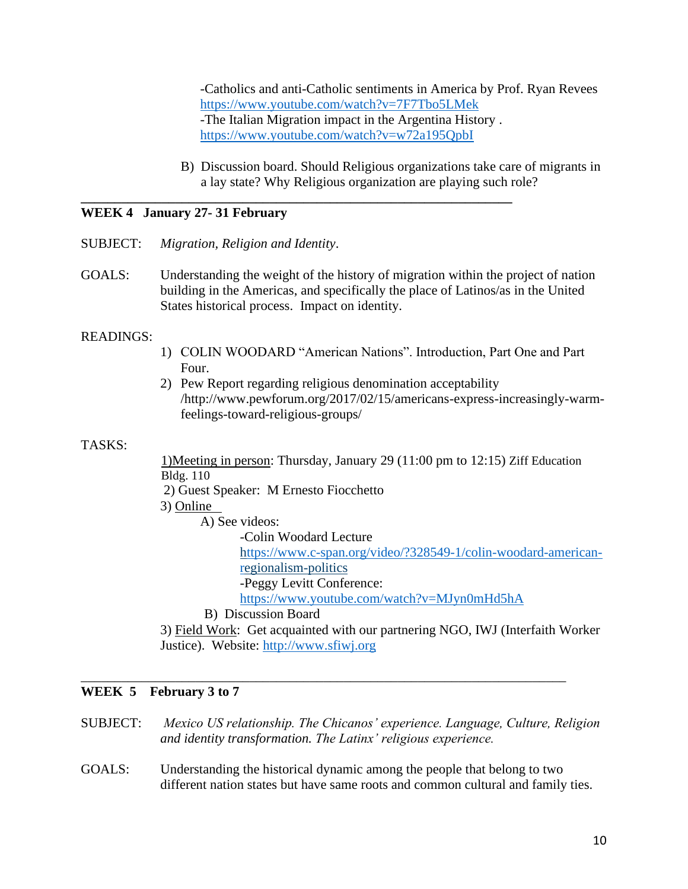-Catholics and anti-Catholic sentiments in America by Prof. Ryan Revees <https://www.youtube.com/watch?v=7F7Tbo5LMek> -The Italian Migration impact in the Argentina History . <https://www.youtube.com/watch?v=w72a195QpbI>

B) Discussion board. Should Religious organizations take care of migrants in a lay state? Why Religious organization are playing such role?

#### **WEEK 4 January 27- 31 February**

- SUBJECT: *Migration, Religion and Identity*.
- GOALS: Understanding the weight of the history of migration within the project of nation building in the Americas, and specifically the place of Latinos/as in the United States historical process. Impact on identity.

**\_\_\_\_\_\_\_\_\_\_\_\_\_\_\_\_\_\_\_\_\_\_\_\_\_\_\_\_\_\_\_\_\_\_\_\_\_\_\_\_\_\_\_\_\_\_\_\_\_\_\_\_\_\_\_\_\_\_\_\_\_\_\_\_**

#### READINGS:

- 1) COLIN WOODARD "American Nations". Introduction, Part One and Part Four.
- 2) Pew Report regarding religious denomination acceptability /http://www.pewforum.org/2017/02/15/americans-express-increasingly-warmfeelings-toward-religious-groups/

#### TASKS:

1)Meeting in person: Thursday, January 29 (11:00 pm to 12:15) Ziff Education Bldg. 110

2) Guest Speaker: M Ernesto Fiocchetto

3) Online

A) See videos:

-Colin Woodard Lecture

[https://www.c-span.org/video/?328549-1/colin-woodard-american](ttps://www.c-span.org/video/?328549-1/colin-woodard-american-r)[re](ttps://www.c-span.org/video/?328549-1/colin-woodard-american-r)gionalism-politics

-Peggy Levitt Conference:

<https://www.youtube.com/watch?v=MJyn0mHd5hA>

#### B) Discussion Board

3) Field Work: Get acquainted with our partnering NGO, IWJ (Interfaith Worker Justice). Website: [http://www.sfiwj.org](http://www.sfiwj.org/)

#### **WEEK 5 February 3 to 7**

SUBJECT: *Mexico US relationship. The Chicanos' experience. Language, Culture, Religion and identity transformation. The Latinx' religious experience.*

\_\_\_\_\_\_\_\_\_\_\_\_\_\_\_\_\_\_\_\_\_\_\_\_\_\_\_\_\_\_\_\_\_\_\_\_\_\_\_\_\_\_\_\_\_\_\_\_\_\_\_\_\_\_\_\_\_\_\_\_\_\_\_\_\_\_\_\_\_\_\_\_

GOALS: Understanding the historical dynamic among the people that belong to two different nation states but have same roots and common cultural and family ties.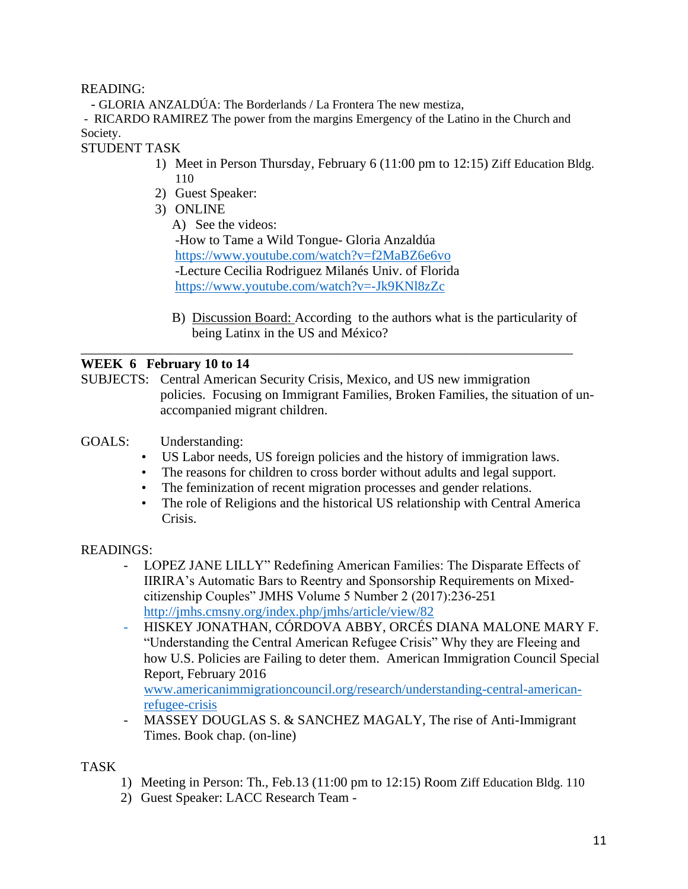READING:

- GLORIA ANZALDÚA: The Borderlands / La Frontera The new mestiza,

- RICARDO RAMIREZ The power from the margins Emergency of the Latino in the Church and Society.

STUDENT TASK

- 1) Meet in Person Thursday, February 6 (11:00 pm to 12:15) Ziff Education Bldg. 110
- 2) Guest Speaker:
- 3) ONLINE
	- A) See the videos: -How to Tame a Wild Tongue- Gloria Anzaldúa <https://www.youtube.com/watch?v=f2MaBZ6e6vo> -Lecture Cecilia Rodriguez Milanés Univ. of Florida <https://www.youtube.com/watch?v=-Jk9KNl8zZc>
	- B) Discussion Board: According to the authors what is the particularity of being Latinx in the US and México?

### **WEEK 6 February 10 to 14**

SUBJECTS: Central American Security Crisis, Mexico, and US new immigration policies. Focusing on Immigrant Families, Broken Families, the situation of unaccompanied migrant children.

\_\_\_\_\_\_\_\_\_\_\_\_\_\_\_\_\_\_\_\_\_\_\_\_\_\_\_\_\_\_\_\_\_\_\_\_\_\_\_\_\_\_\_\_\_\_\_\_\_\_\_\_\_\_\_\_\_\_\_\_\_\_\_\_\_\_\_\_\_\_\_\_\_

- GOALS: Understanding:
	- US Labor needs, US foreign policies and the history of immigration laws.
	- The reasons for children to cross border without adults and legal support.
	- The feminization of recent migration processes and gender relations.
	- The role of Religions and the historical US relationship with Central America Crisis.

### READINGS:

- LOPEZ JANE LILLY" Redefining American Families: The Disparate Effects of IIRIRA's Automatic Bars to Reentry and Sponsorship Requirements on Mixedcitizenship Couples" JMHS Volume 5 Number 2 (2017):236-251 <http://jmhs.cmsny.org/index.php/jmhs/article/view/82>
- HISKEY JONATHAN, CÓRDOVA ABBY, ORCÉS DIANA MALONE MARY F. "Understanding the Central American Refugee Crisis" Why they are Fleeing and how U.S. Policies are Failing to deter them. American Immigration Council Special Report, February 2016 [www.americanimmigrationcouncil.org/research/understanding-central-american-](http://www.americanimmigrationcouncil.org/research/understanding-central-american-refugee-crisis)

[refugee-crisis](http://www.americanimmigrationcouncil.org/research/understanding-central-american-refugee-crisis)

MASSEY DOUGLAS S. & SANCHEZ MAGALY, The rise of Anti-Immigrant Times. Book chap. (on-line)

TASK

- 1) Meeting in Person: Th., Feb.13 (11:00 pm to 12:15) Room Ziff Education Bldg. 110
- 2) Guest Speaker: LACC Research Team -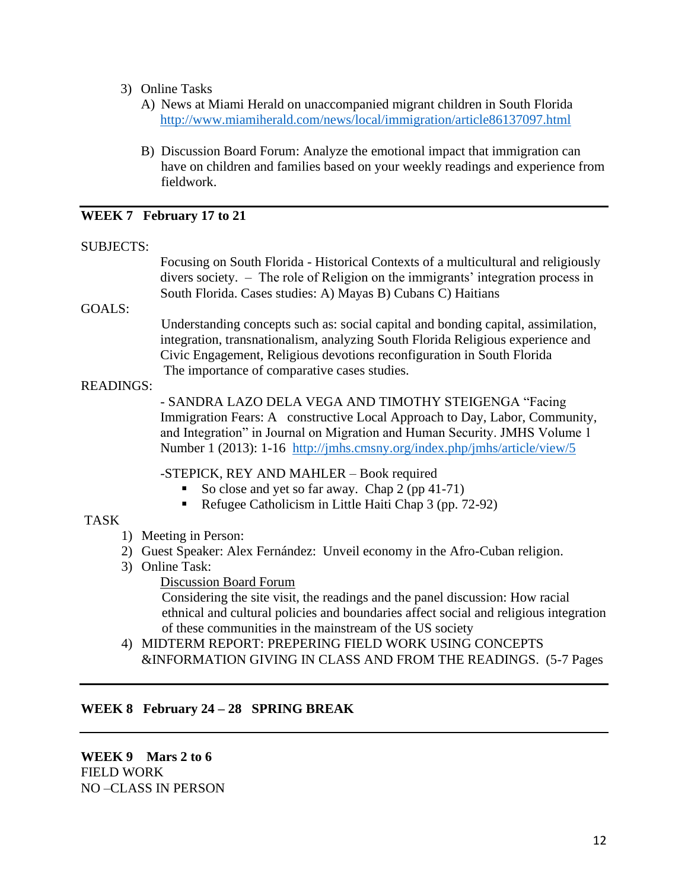- 3) Online Tasks
	- A) News at Miami Herald on unaccompanied migrant children in South Florida <http://www.miamiherald.com/news/local/immigration/article86137097.html>
	- B) Discussion Board Forum: Analyze the emotional impact that immigration can have on children and families based on your weekly readings and experience from fieldwork.

#### **WEEK 7 February 17 to 21**

#### SUBJECTS:

Focusing on South Florida - Historical Contexts of a multicultural and religiously divers society. – The role of Religion on the immigrants' integration process in South Florida. Cases studies: A) Mayas B) Cubans C) Haitians

#### GOALS:

Understanding concepts such as: social capital and bonding capital, assimilation, integration, transnationalism, analyzing South Florida Religious experience and Civic Engagement, Religious devotions reconfiguration in South Florida The importance of comparative cases studies.

#### READINGS:

- SANDRA LAZO DELA VEGA AND TIMOTHY STEIGENGA "Facing Immigration Fears: A constructive Local Approach to Day, Labor, Community, and Integration" in Journal on Migration and Human Security. JMHS Volume 1 Number 1 (2013): 1-16 <http://jmhs.cmsny.org/index.php/jmhs/article/view/5>

-STEPICK, REY AND MAHLER – Book required

- So close and yet so far away. Chap  $2$  (pp 41-71)
- Refugee Catholicism in Little Haiti Chap 3 (pp. 72-92)

### TASK

- 1) Meeting in Person:
- 2) Guest Speaker: Alex Fernández: Unveil economy in the Afro-Cuban religion.
- 3) Online Task:

Discussion Board Forum

Considering the site visit, the readings and the panel discussion: How racial ethnical and cultural policies and boundaries affect social and religious integration of these communities in the mainstream of the US society

4) MIDTERM REPORT: PREPERING FIELD WORK USING CONCEPTS &INFORMATION GIVING IN CLASS AND FROM THE READINGS. (5-7 Pages

### **WEEK 8 February 24 – 28 SPRING BREAK**

**WEEK 9 Mars 2 to 6** FIELD WORK NO –CLASS IN PERSON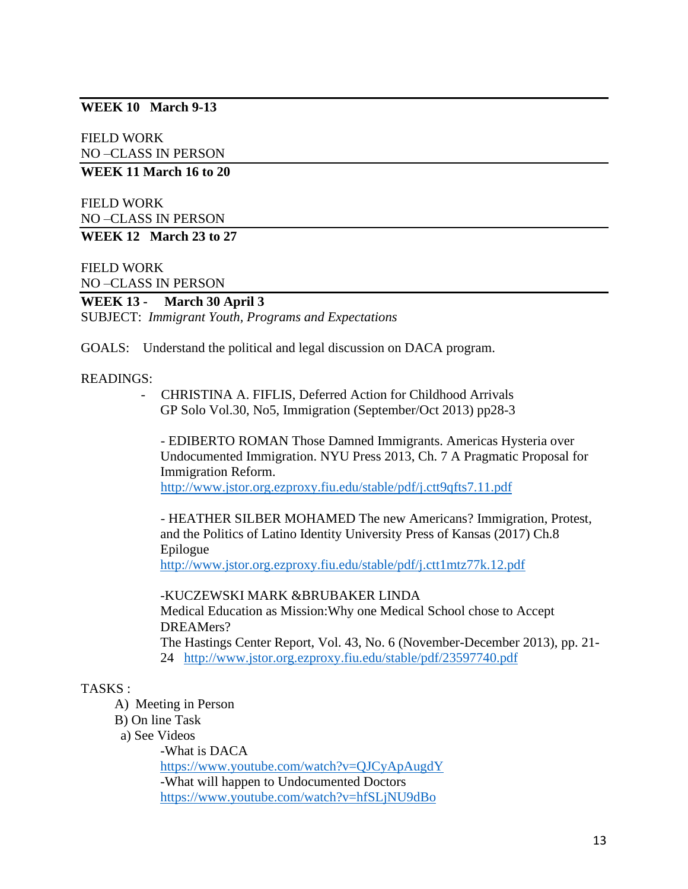## **WEEK 10 March 9-13**

FIELD WORK NO –CLASS IN PERSON

**WEEK 11 March 16 to 20**

FIELD WORK NO –CLASS IN PERSON

**WEEK 12 March 23 to 27**

FIELD WORK NO –CLASS IN PERSON

#### **WEEK 13 - March 30 April 3**

SUBJECT: *Immigrant Youth, Programs and Expectations*

GOALS: Understand the political and legal discussion on DACA program.

#### READINGS:

- CHRISTINA A. FIFLIS, Deferred Action for Childhood Arrivals GP Solo Vol.30, No5, Immigration (September/Oct 2013) pp28-3

- EDIBERTO ROMAN Those Damned Immigrants. Americas Hysteria over Undocumented Immigration. NYU Press 2013, Ch. 7 A Pragmatic Proposal for Immigration Reform.

<http://www.jstor.org.ezproxy.fiu.edu/stable/pdf/j.ctt9qfts7.11.pdf>

- HEATHER SILBER MOHAMED The new Americans? Immigration, Protest, and the Politics of Latino Identity University Press of Kansas (2017) Ch.8 Epilogue <http://www.jstor.org.ezproxy.fiu.edu/stable/pdf/j.ctt1mtz77k.12.pdf>

-KUCZEWSKI MARK &BRUBAKER LINDA Medical Education as Mission:Why one Medical School chose to Accept DREAMers? The Hastings Center Report, Vol. 43, No. 6 (November-December 2013), pp. 21- 24 <http://www.jstor.org.ezproxy.fiu.edu/stable/pdf/23597740.pdf>

#### TASKS :

- A) Meeting in Person
- B) On line Task
- a) See Videos

-What is DACA <https://www.youtube.com/watch?v=QJCyApAugdY> -What will happen to Undocumented Doctors <https://www.youtube.com/watch?v=hfSLjNU9dBo>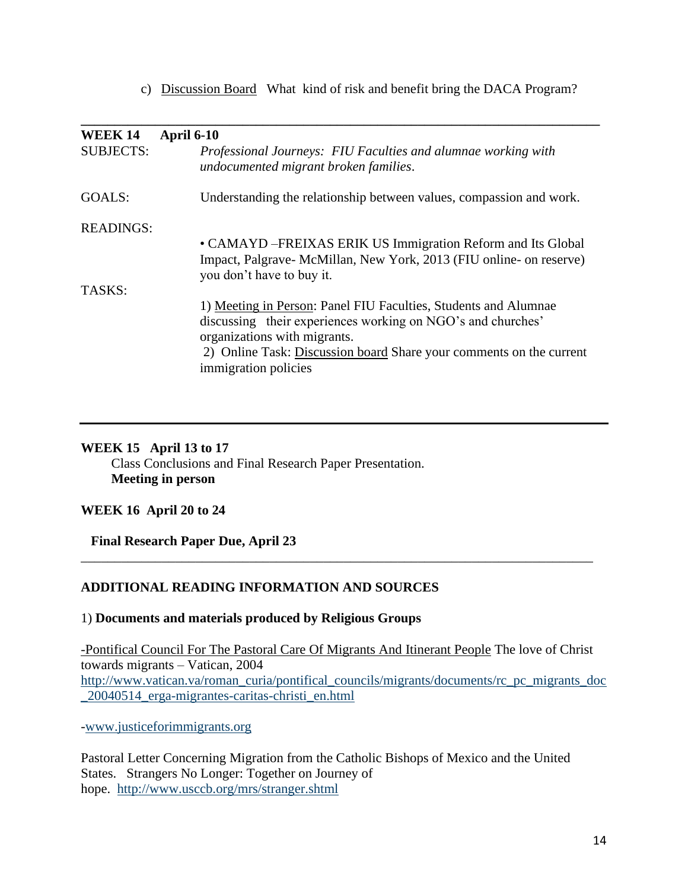c) Discussion Board What kind of risk and benefit bring the DACA Program?

| <b>WEEK 14</b>   | <b>April 6-10</b>                                                                                      |
|------------------|--------------------------------------------------------------------------------------------------------|
| <b>SUBJECTS:</b> | Professional Journeys: FIU Faculties and alumnae working with<br>undocumented migrant broken families. |
| GOALS:           | Understanding the relationship between values, compassion and work.                                    |
| <b>READINGS:</b> |                                                                                                        |
|                  | • CAMAYD – FREIXAS ERIK US Immigration Reform and Its Global                                           |
|                  | Impact, Palgrave-McMillan, New York, 2013 (FIU online- on reserve)<br>you don't have to buy it.        |
| TASKS:           |                                                                                                        |
|                  | 1) Meeting in Person: Panel FIU Faculties, Students and Alumnae                                        |
|                  | discussing their experiences working on NGO's and churches'                                            |
|                  | organizations with migrants.                                                                           |
|                  | 2) Online Task: Discussion board Share your comments on the current                                    |
|                  | immigration policies                                                                                   |
|                  |                                                                                                        |

#### **WEEK 15 April 13 to 17**

 Class Conclusions and Final Research Paper Presentation.  **Meeting in person**

### **WEEK 16 April 20 to 24**

 **Final Research Paper Due, April 23**

## **ADDITIONAL READING INFORMATION AND SOURCES**

1) **Documents and materials produced by Religious Groups**

-Pontifical Council For The Pastoral Care Of Migrants And Itinerant People The love of Christ towards migrants – Vatican, 2004 http://www.vatican.va/roman\_curia/pontifical\_councils/migrants/documents/rc\_pc\_migrants\_doc \_20040514\_erga-migrantes-caritas-christi\_en.html

\_\_\_\_\_\_\_\_\_\_\_\_\_\_\_\_\_\_\_\_\_\_\_\_\_\_\_\_\_\_\_\_\_\_\_\_\_\_\_\_\_\_\_\_\_\_\_\_\_\_\_\_\_\_\_\_\_\_\_\_\_\_\_\_\_\_\_\_\_\_\_\_\_\_\_\_

-www.justiceforimmigrants.org

Pastoral Letter Concerning Migration from the Catholic Bishops of Mexico and the United States. Strangers No Longer: Together on Journey of hope. http://www.usccb.org/mrs/stranger.shtml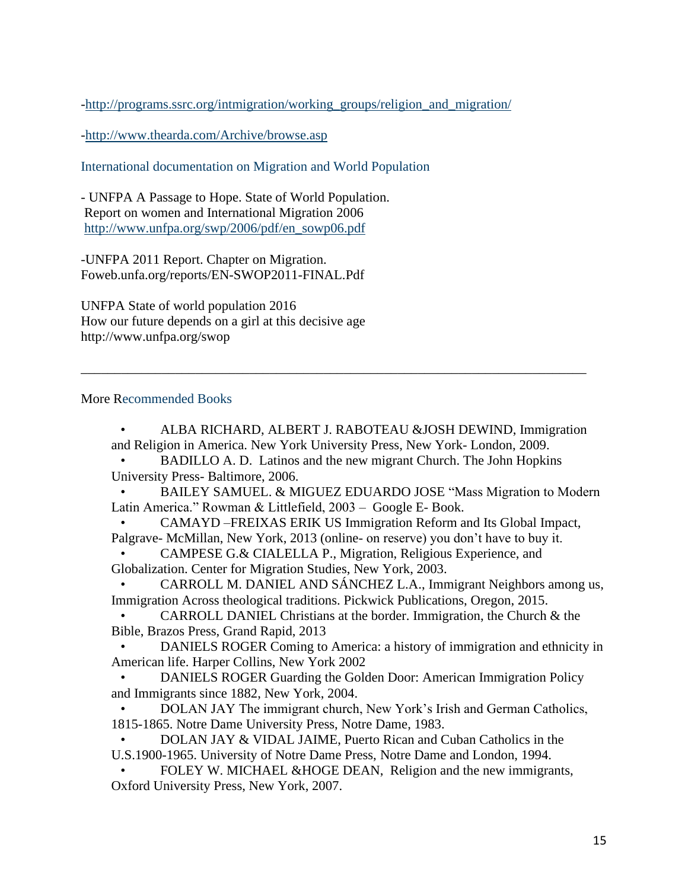-http://programs.ssrc.org/intmigration/working\_groups/religion\_and\_migration/

-http://www.thearda.com/Archive/browse.asp

International documentation on Migration and World Population

- UNFPA A Passage to Hope. State of World Population. Report on women and International Migration 2006 http://www.unfpa.org/swp/2006/pdf/en\_sowp06.pdf

-UNFPA 2011 Report. Chapter on Migration. Foweb.unfa.org/reports/EN-SWOP2011-FINAL.Pdf

UNFPA State of world population 2016 How our future depends on a girl at this decisive age http://www.unfpa.org/swop

#### More Recommended Books

• ALBA RICHARD, ALBERT J. RABOTEAU &JOSH DEWIND, Immigration and Religion in America. New York University Press, New York- London, 2009.

• BADILLO A. D. Latinos and the new migrant Church. The John Hopkins University Press- Baltimore, 2006.

\_\_\_\_\_\_\_\_\_\_\_\_\_\_\_\_\_\_\_\_\_\_\_\_\_\_\_\_\_\_\_\_\_\_\_\_\_\_\_\_\_\_\_\_\_\_\_\_\_\_\_\_\_\_\_\_\_\_\_\_\_\_\_\_\_\_\_\_\_\_\_\_\_\_\_

• BAILEY SAMUEL. & MIGUEZ EDUARDO JOSE "Mass Migration to Modern Latin America." Rowman & Littlefield, 2003 – Google E- Book.

• CAMAYD –FREIXAS ERIK US Immigration Reform and Its Global Impact, Palgrave- McMillan, New York, 2013 (online- on reserve) you don't have to buy it.

• CAMPESE G.& CIALELLA P., Migration, Religious Experience, and Globalization. Center for Migration Studies, New York, 2003.

• CARROLL M. DANIEL AND SÁNCHEZ L.A., Immigrant Neighbors among us, Immigration Across theological traditions. Pickwick Publications, Oregon, 2015.

• CARROLL DANIEL Christians at the border. Immigration, the Church & the Bible, Brazos Press, Grand Rapid, 2013

• DANIELS ROGER Coming to America: a history of immigration and ethnicity in American life. Harper Collins, New York 2002

• DANIELS ROGER Guarding the Golden Door: American Immigration Policy and Immigrants since 1882, New York, 2004.

• DOLAN JAY The immigrant church, New York's Irish and German Catholics, 1815-1865. Notre Dame University Press, Notre Dame, 1983.

• DOLAN JAY & VIDAL JAIME, Puerto Rican and Cuban Catholics in the U.S.1900-1965. University of Notre Dame Press, Notre Dame and London, 1994.

• FOLEY W. MICHAEL &HOGE DEAN, Religion and the new immigrants, Oxford University Press, New York, 2007.